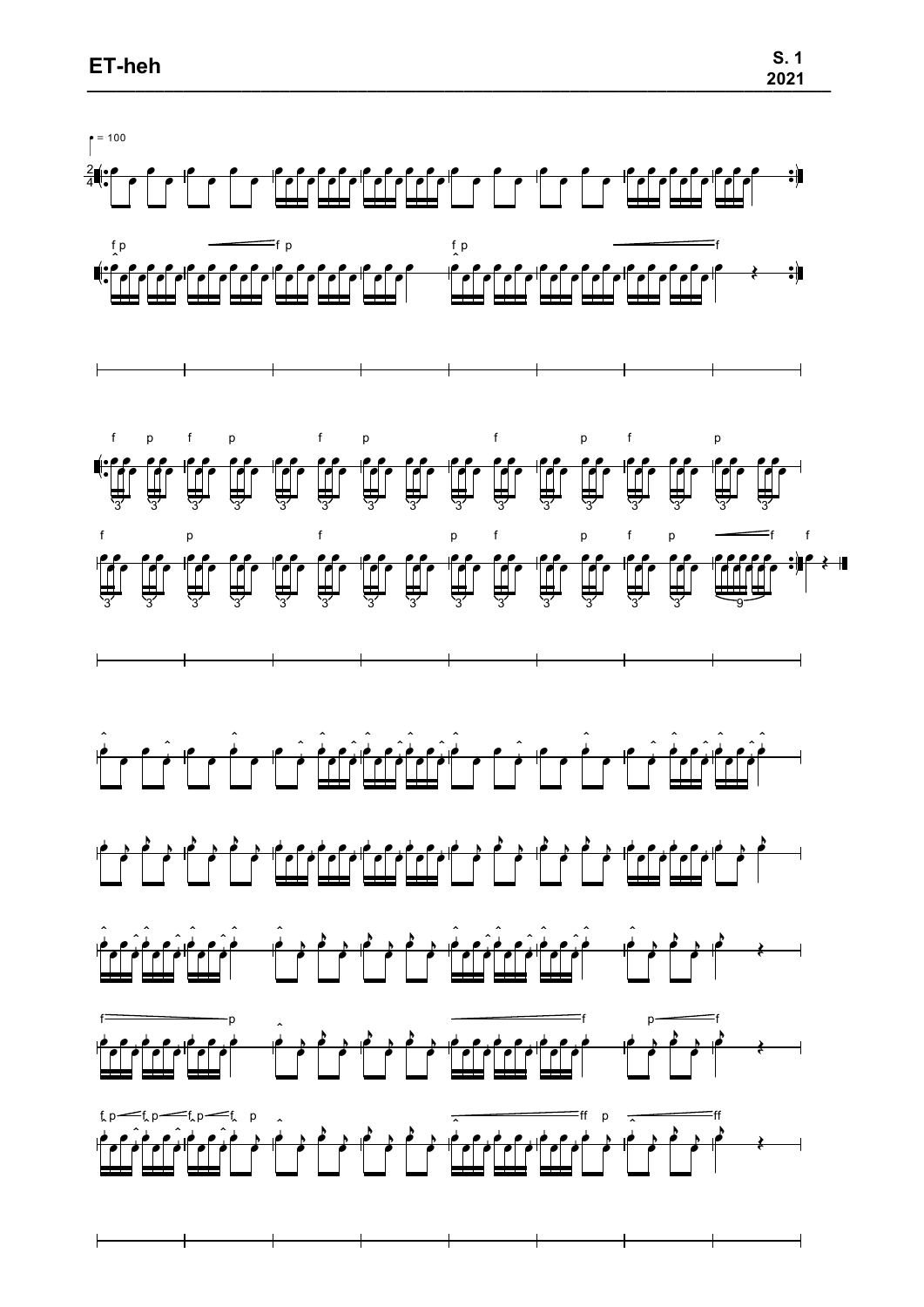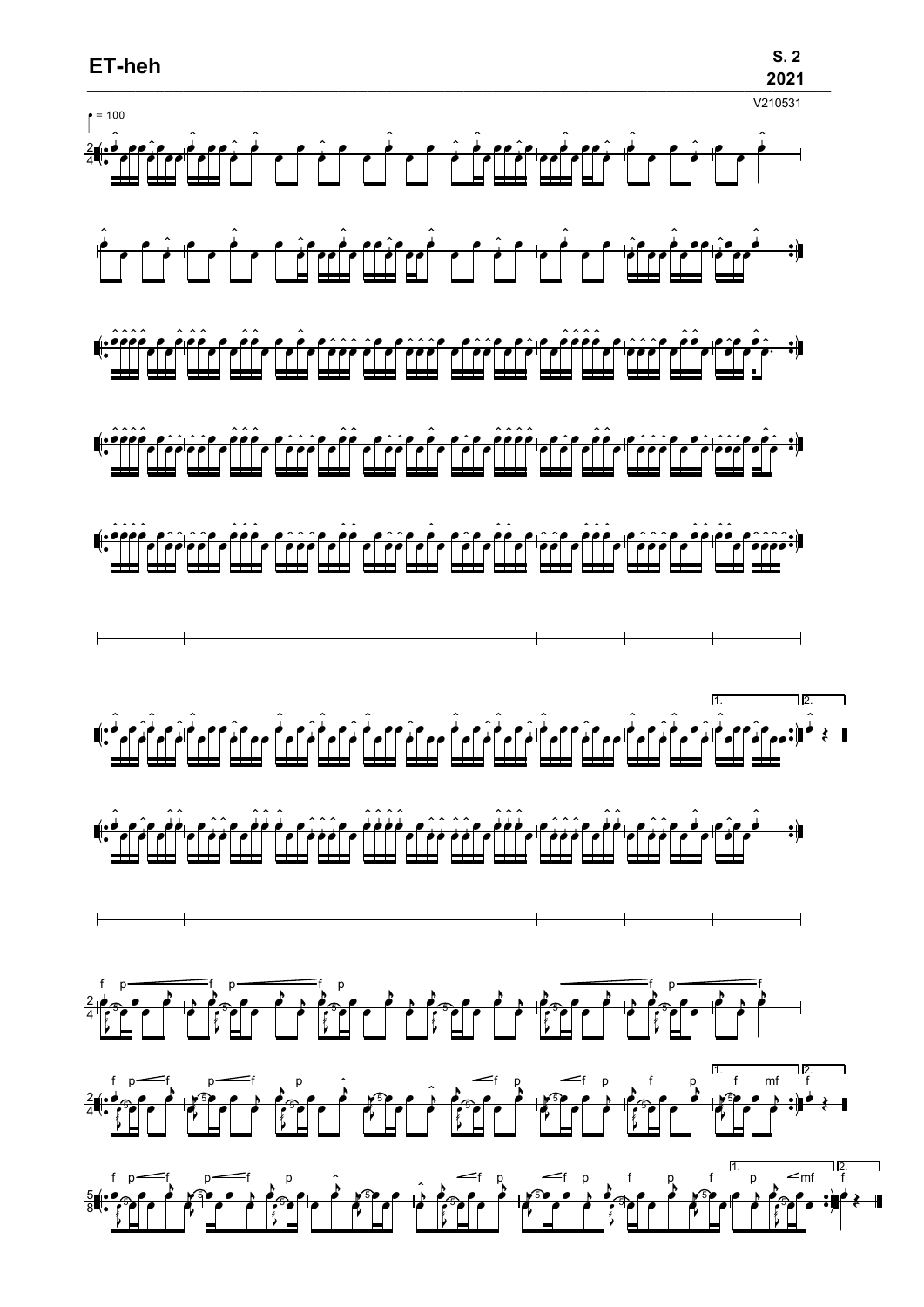